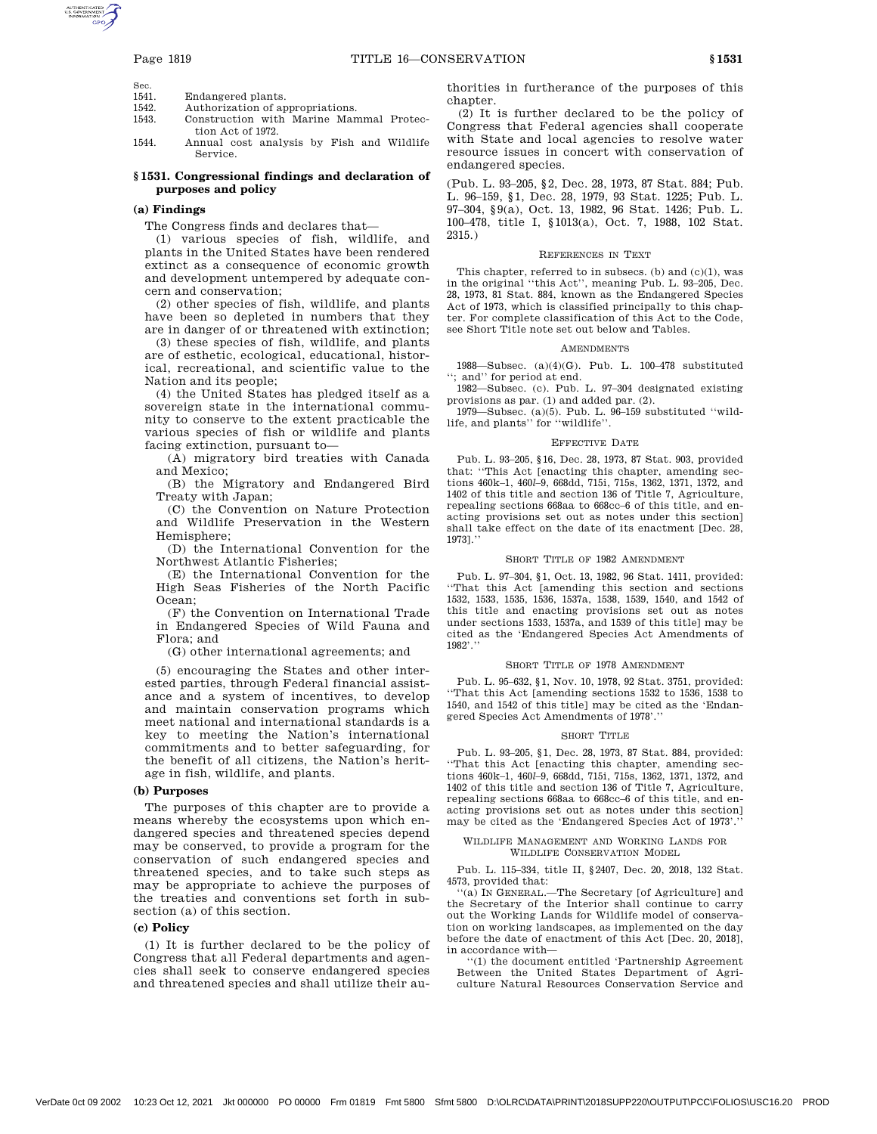- Sec.<br>1541
- 1541. Endangered plants.<br>1542. Authorization of an Authorization of appropriations.

1543. Construction with Marine Mammal Protection Act of 1972.

1544. Annual cost analysis by Fish and Wildlife Service.

## **§ 1531. Congressional findings and declaration of purposes and policy**

# **(a) Findings**

The Congress finds and declares that—

(1) various species of fish, wildlife, and plants in the United States have been rendered extinct as a consequence of economic growth and development untempered by adequate concern and conservation;

(2) other species of fish, wildlife, and plants have been so depleted in numbers that they are in danger of or threatened with extinction;

(3) these species of fish, wildlife, and plants are of esthetic, ecological, educational, historical, recreational, and scientific value to the Nation and its people;

(4) the United States has pledged itself as a sovereign state in the international community to conserve to the extent practicable the various species of fish or wildlife and plants facing extinction, pursuant to—

(A) migratory bird treaties with Canada and Mexico;

(B) the Migratory and Endangered Bird Treaty with Japan;

(C) the Convention on Nature Protection and Wildlife Preservation in the Western Hemisphere;

(D) the International Convention for the Northwest Atlantic Fisheries;

(E) the International Convention for the High Seas Fisheries of the North Pacific Ocean;

(F) the Convention on International Trade in Endangered Species of Wild Fauna and Flora; and

(G) other international agreements; and

(5) encouraging the States and other interested parties, through Federal financial assistance and a system of incentives, to develop and maintain conservation programs which meet national and international standards is a key to meeting the Nation's international commitments and to better safeguarding, for the benefit of all citizens, the Nation's heritage in fish, wildlife, and plants.

## **(b) Purposes**

The purposes of this chapter are to provide a means whereby the ecosystems upon which endangered species and threatened species depend may be conserved, to provide a program for the conservation of such endangered species and threatened species, and to take such steps as may be appropriate to achieve the purposes of the treaties and conventions set forth in subsection (a) of this section.

## **(c) Policy**

(1) It is further declared to be the policy of Congress that all Federal departments and agencies shall seek to conserve endangered species and threatened species and shall utilize their au-

thorities in furtherance of the purposes of this chapter.

(2) It is further declared to be the policy of Congress that Federal agencies shall cooperate with State and local agencies to resolve water resource issues in concert with conservation of endangered species.

(Pub. L. 93–205, §2, Dec. 28, 1973, 87 Stat. 884; Pub. L. 96–159, §1, Dec. 28, 1979, 93 Stat. 1225; Pub. L. 97–304, §9(a), Oct. 13, 1982, 96 Stat. 1426; Pub. L. 100–478, title I, §1013(a), Oct. 7, 1988, 102 Stat. 2315.)

#### REFERENCES IN TEXT

This chapter, referred to in subsecs. (b) and  $(c)(1)$ , was in the original ''this Act'', meaning Pub. L. 93–205, Dec. 28, 1973, 81 Stat. 884, known as the Endangered Species Act of 1973, which is classified principally to this chapter. For complete classification of this Act to the Code, see Short Title note set out below and Tables.

#### **AMENDMENTS**

1988—Subsec. (a)(4)(G). Pub. L. 100–478 substituted ''; and'' for period at end.

1982—Subsec. (c). Pub. L. 97–304 designated existing provisions as par. (1) and added par. (2).

1979—Subsec. (a)(5). Pub. L. 96–159 substituted ''wildlife, and plants'' for ''wildlife''.

## EFFECTIVE DATE

Pub. L. 93–205, §16, Dec. 28, 1973, 87 Stat. 903, provided that: ''This Act [enacting this chapter, amending sections 460k–1, 460*l*–9, 668dd, 715i, 715s, 1362, 1371, 1372, and 1402 of this title and section 136 of Title 7, Agriculture, repealing sections 668aa to 668cc–6 of this title, and enacting provisions set out as notes under this section] shall take effect on the date of its enactment [Dec. 28, 1973].''

### SHORT TITLE OF 1982 AMENDMENT

Pub. L. 97–304, §1, Oct. 13, 1982, 96 Stat. 1411, provided: ''That this Act [amending this section and sections 1532, 1533, 1535, 1536, 1537a, 1538, 1539, 1540, and 1542 of this title and enacting provisions set out as notes under sections 1533, 1537a, and 1539 of this title] may be cited as the 'Endangered Species Act Amendments of 1982'.''

#### SHORT TITLE OF 1978 AMENDMENT

Pub. L. 95–632, §1, Nov. 10, 1978, 92 Stat. 3751, provided: ''That this Act [amending sections 1532 to 1536, 1538 to 1540, and 1542 of this title] may be cited as the 'Endangered Species Act Amendments of 1978'.

#### SHORT TITLE

Pub. L. 93–205, §1, Dec. 28, 1973, 87 Stat. 884, provided: ''That this Act [enacting this chapter, amending sec-tions 460k–1, 460*l*–9, 668dd, 715i, 715s, 1362, 1371, 1372, and 1402 of this title and section 136 of Title 7, Agriculture, repealing sections 668aa to 668cc–6 of this title, and enacting provisions set out as notes under this section] may be cited as the 'Endangered Species Act of 1973'.'

### WILDLIFE MANAGEMENT AND WORKING LANDS FOR WILDLIFE CONSERVATION MODEL

Pub. L. 115–334, title II, §2407, Dec. 20, 2018, 132 Stat. 4573, provided that:

''(a) IN GENERAL.—The Secretary [of Agriculture] and the Secretary of the Interior shall continue to carry out the Working Lands for Wildlife model of conservation on working landscapes, as implemented on the day before the date of enactment of this Act [Dec. 20, 2018], in accordance with—

''(1) the document entitled 'Partnership Agreement Between the United States Department of Agriculture Natural Resources Conservation Service and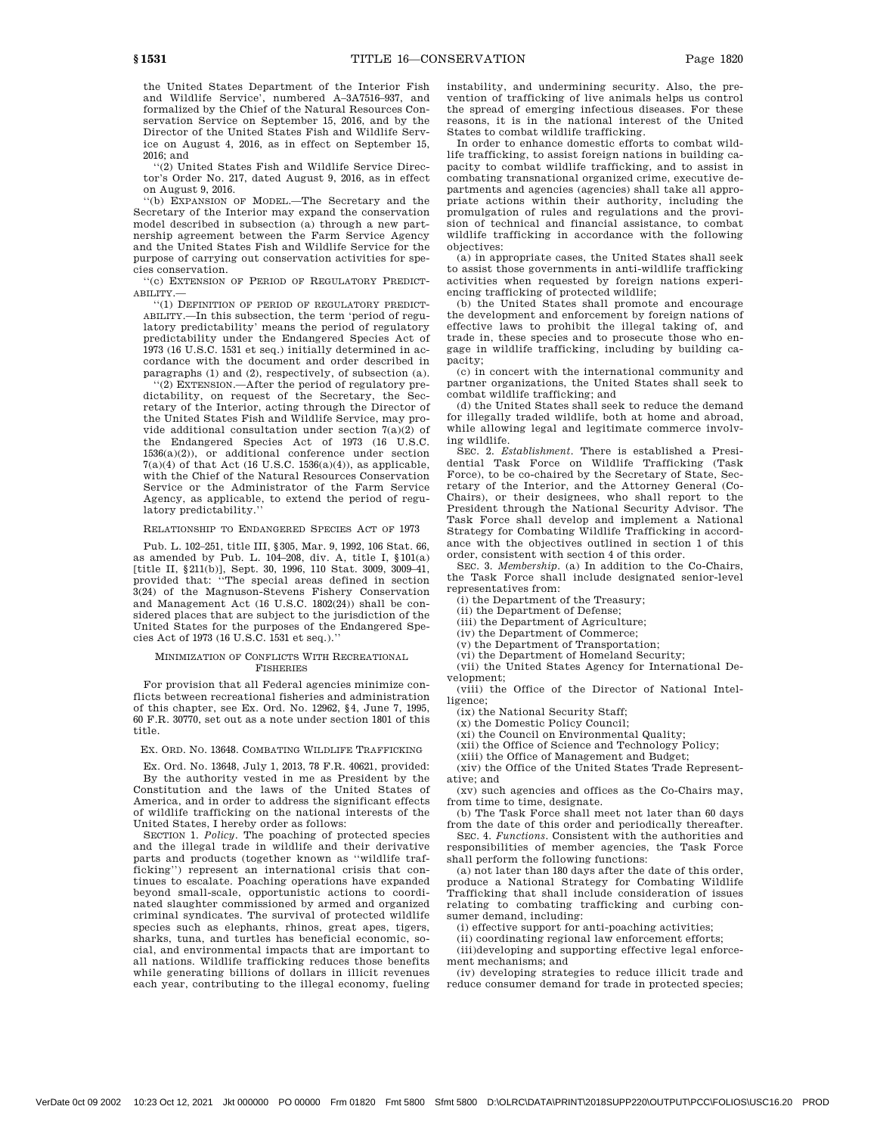the United States Department of the Interior Fish and Wildlife Service', numbered A–3A7516–937, and formalized by the Chief of the Natural Resources Conservation Service on September 15, 2016, and by the Director of the United States Fish and Wildlife Service on August 4, 2016, as in effect on September 15, 2016; and

''(2) United States Fish and Wildlife Service Director's Order No. 217, dated August 9, 2016, as in effect on August 9, 2016.

''(b) EXPANSION OF MODEL.—The Secretary and the Secretary of the Interior may expand the conservation model described in subsection (a) through a new partnership agreement between the Farm Service Agency and the United States Fish and Wildlife Service for the purpose of carrying out conservation activities for species conservation.

''(c) EXTENSION OF PERIOD OF REGULATORY PREDICT-ABILITY.—

''(1) DEFINITION OF PERIOD OF REGULATORY PREDICT-ABILITY.—In this subsection, the term 'period of regulatory predictability' means the period of regulatory predictability under the Endangered Species Act of 1973 (16 U.S.C. 1531 et seq.) initially determined in accordance with the document and order described in paragraphs (1) and (2), respectively, of subsection (a).

''(2) EXTENSION.—After the period of regulatory predictability, on request of the Secretary, the Secretary of the Interior, acting through the Director of the United States Fish and Wildlife Service, may provide additional consultation under section 7(a)(2) of the Endangered Species Act of 1973 (16 U.S.C. 1536(a)(2)), or additional conference under section  $7(a)(4)$  of that Act (16 U.S.C. 1536 $(a)(4)$ ), as applicable, with the Chief of the Natural Resources Conservation Service or the Administrator of the Farm Service Agency, as applicable, to extend the period of regulatory predictability.''

## RELATIONSHIP TO ENDANGERED SPECIES ACT OF 1973

Pub. L. 102–251, title III, §305, Mar. 9, 1992, 106 Stat. 66, as amended by Pub. L. 104–208, div. A, title I, §101(a) [title II, §211(b)], Sept. 30, 1996, 110 Stat. 3009, 3009–41, provided that: ''The special areas defined in section 3(24) of the Magnuson-Stevens Fishery Conservation and Management Act (16 U.S.C. 1802(24)) shall be considered places that are subject to the jurisdiction of the United States for the purposes of the Endangered Species Act of 1973 (16 U.S.C. 1531 et seq.).''

### MINIMIZATION OF CONFLICTS WITH RECREATIONAL **FISHERIES**

For provision that all Federal agencies minimize conflicts between recreational fisheries and administration of this chapter, see Ex. Ord. No. 12962, §4, June 7, 1995, 60 F.R. 30770, set out as a note under section 1801 of this title.

#### EX. ORD. NO. 13648. COMBATING WILDLIFE TRAFFICKING

Ex. Ord. No. 13648, July 1, 2013, 78 F.R. 40621, provided: By the authority vested in me as President by the Constitution and the laws of the United States of

America, and in order to address the significant effects of wildlife trafficking on the national interests of the United States, I hereby order as follows:

SECTION 1. *Policy*. The poaching of protected species and the illegal trade in wildlife and their derivative parts and products (together known as ''wildlife trafficking'') represent an international crisis that continues to escalate. Poaching operations have expanded beyond small-scale, opportunistic actions to coordinated slaughter commissioned by armed and organized criminal syndicates. The survival of protected wildlife species such as elephants, rhinos, great apes, tigers, sharks, tuna, and turtles has beneficial economic, social, and environmental impacts that are important to all nations. Wildlife trafficking reduces those benefits while generating billions of dollars in illicit revenues each year, contributing to the illegal economy, fueling

instability, and undermining security. Also, the prevention of trafficking of live animals helps us control the spread of emerging infectious diseases. For these reasons, it is in the national interest of the United States to combat wildlife trafficking.

In order to enhance domestic efforts to combat wildlife trafficking, to assist foreign nations in building capacity to combat wildlife trafficking, and to assist in combating transnational organized crime, executive departments and agencies (agencies) shall take all appropriate actions within their authority, including the promulgation of rules and regulations and the provision of technical and financial assistance, to combat wildlife trafficking in accordance with the following objectives:

(a) in appropriate cases, the United States shall seek to assist those governments in anti-wildlife trafficking activities when requested by foreign nations experiencing trafficking of protected wildlife;

(b) the United States shall promote and encourage the development and enforcement by foreign nations of effective laws to prohibit the illegal taking of, and trade in, these species and to prosecute those who engage in wildlife trafficking, including by building capacity;

(c) in concert with the international community and partner organizations, the United States shall seek to combat wildlife trafficking; and

(d) the United States shall seek to reduce the demand for illegally traded wildlife, both at home and abroad, while allowing legal and legitimate commerce involving wildlife.

SEC. 2. *Establishment*. There is established a Presidential Task Force on Wildlife Trafficking (Task Force), to be co-chaired by the Secretary of State, Secretary of the Interior, and the Attorney General (Co-Chairs), or their designees, who shall report to the President through the National Security Advisor. The Task Force shall develop and implement a National Strategy for Combating Wildlife Trafficking in accordance with the objectives outlined in section 1 of this order, consistent with section 4 of this order.

SEC. 3. *Membership*. (a) In addition to the Co-Chairs, the Task Force shall include designated senior-level representatives from:

(i) the Department of the Treasury;

(ii) the Department of Defense;

(iii) the Department of Agriculture;

(iv) the Department of Commerce;

(v) the Department of Transportation;

(vi) the Department of Homeland Security;

(vii) the United States Agency for International Development;

(viii) the Office of the Director of National Intelligence;

(ix) the National Security Staff;

(x) the Domestic Policy Council;

(xi) the Council on Environmental Quality;

(xii) the Office of Science and Technology Policy;

(xiii) the Office of Management and Budget;

(xiv) the Office of the United States Trade Representative; and

(xv) such agencies and offices as the Co-Chairs may, from time to time, designate.

(b) The Task Force shall meet not later than 60 days from the date of this order and periodically thereafter.

SEC. 4. *Functions*. Consistent with the authorities and responsibilities of member agencies, the Task Force shall perform the following functions:

(a) not later than 180 days after the date of this order, produce a National Strategy for Combating Wildlife Trafficking that shall include consideration of issues relating to combating trafficking and curbing consumer demand, including:

(i) effective support for anti-poaching activities;

(ii) coordinating regional law enforcement efforts;

(iii)developing and supporting effective legal enforcement mechanisms; and

(iv) developing strategies to reduce illicit trade and reduce consumer demand for trade in protected species;